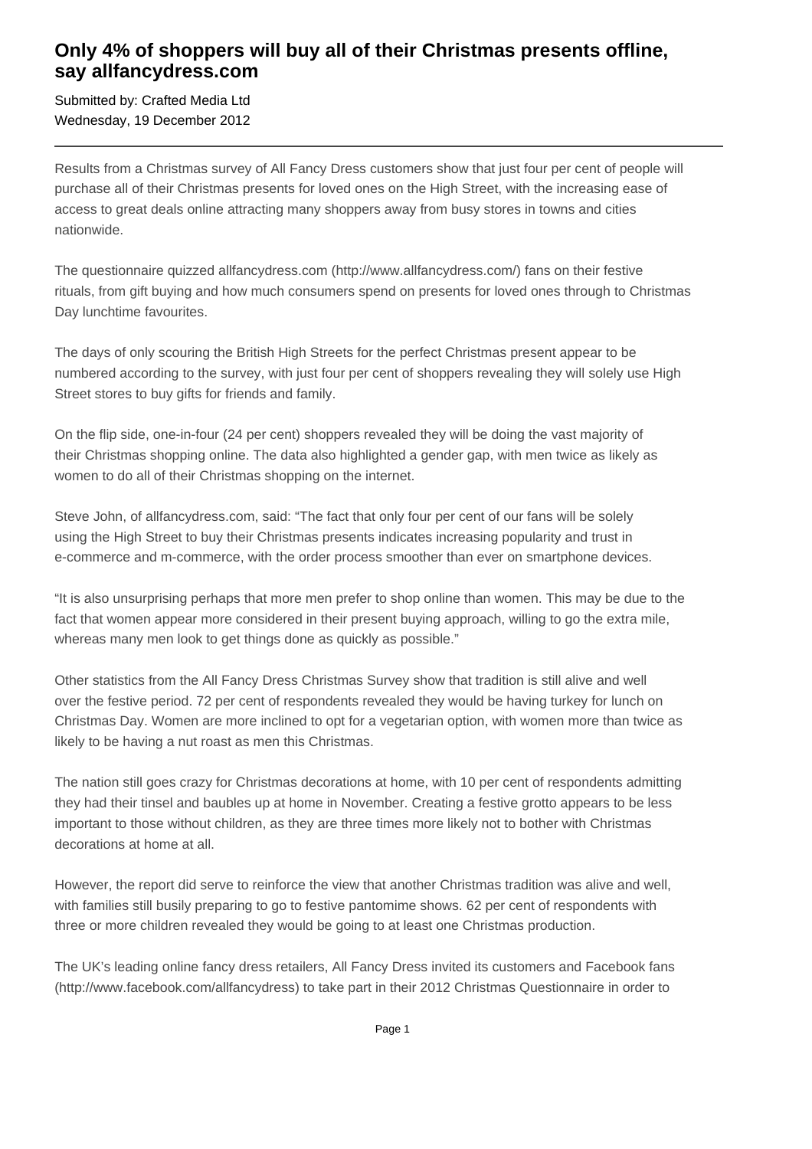## **Only 4% of shoppers will buy all of their Christmas presents offline, say allfancydress.com**

Submitted by: Crafted Media Ltd Wednesday, 19 December 2012

Results from a Christmas survey of All Fancy Dress customers show that just four per cent of people will purchase all of their Christmas presents for loved ones on the High Street, with the increasing ease of access to great deals online attracting many shoppers away from busy stores in towns and cities nationwide.

The questionnaire quizzed allfancydress.com (http://www.allfancydress.com/) fans on their festive rituals, from gift buying and how much consumers spend on presents for loved ones through to Christmas Day lunchtime favourites.

The days of only scouring the British High Streets for the perfect Christmas present appear to be numbered according to the survey, with just four per cent of shoppers revealing they will solely use High Street stores to buy gifts for friends and family.

On the flip side, one-in-four (24 per cent) shoppers revealed they will be doing the vast majority of their Christmas shopping online. The data also highlighted a gender gap, with men twice as likely as women to do all of their Christmas shopping on the internet.

Steve John, of allfancydress.com, said: "The fact that only four per cent of our fans will be solely using the High Street to buy their Christmas presents indicates increasing popularity and trust in e-commerce and m-commerce, with the order process smoother than ever on smartphone devices.

"It is also unsurprising perhaps that more men prefer to shop online than women. This may be due to the fact that women appear more considered in their present buying approach, willing to go the extra mile, whereas many men look to get things done as quickly as possible."

Other statistics from the All Fancy Dress Christmas Survey show that tradition is still alive and well over the festive period. 72 per cent of respondents revealed they would be having turkey for lunch on Christmas Day. Women are more inclined to opt for a vegetarian option, with women more than twice as likely to be having a nut roast as men this Christmas.

The nation still goes crazy for Christmas decorations at home, with 10 per cent of respondents admitting they had their tinsel and baubles up at home in November. Creating a festive grotto appears to be less important to those without children, as they are three times more likely not to bother with Christmas decorations at home at all.

However, the report did serve to reinforce the view that another Christmas tradition was alive and well, with families still busily preparing to go to festive pantomime shows. 62 per cent of respondents with three or more children revealed they would be going to at least one Christmas production.

The UK's leading online fancy dress retailers, All Fancy Dress invited its customers and Facebook fans (http://www.facebook.com/allfancydress) to take part in their 2012 Christmas Questionnaire in order to